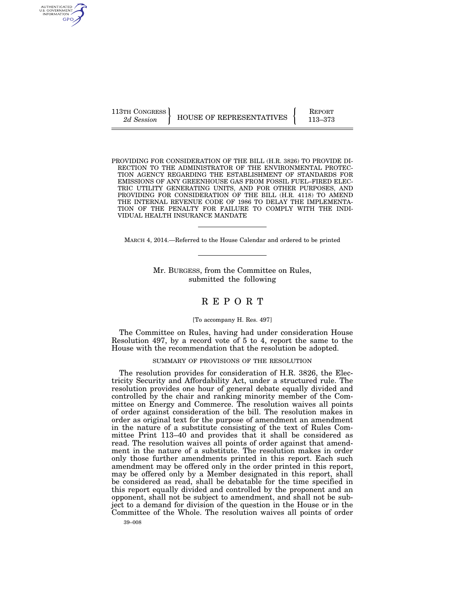AUTHENTICATED<br>U.S. GOVERNMENT<br>INFORMATION GPO

113TH CONGRESS HOUSE OF REPRESENTATIVES **REPORT** 113–373

PROVIDING FOR CONSIDERATION OF THE BILL (H.R. 3826) TO PROVIDE DI-RECTION TO THE ADMINISTRATOR OF THE ENVIRONMENTAL PROTEC-TION AGENCY REGARDING THE ESTABLISHMENT OF STANDARDS FOR EMISSIONS OF ANY GREENHOUSE GAS FROM FOSSIL FUEL–FIRED ELEC-TRIC UTILITY GENERATING UNITS, AND FOR OTHER PURPOSES, AND PROVIDING FOR CONSIDERATION OF THE BILL (H.R. 4118) TO AMEND THE INTERNAL REVENUE CODE OF 1986 TO DELAY THE IMPLEMENTA-TION OF THE PENALTY FOR FAILURE TO COMPLY WITH THE INDI-VIDUAL HEALTH INSURANCE MANDATE

MARCH 4, 2014.—Referred to the House Calendar and ordered to be printed

Mr. BURGESS, from the Committee on Rules, submitted the following

# R E P O R T

#### [To accompany H. Res. 497]

The Committee on Rules, having had under consideration House Resolution 497, by a record vote of 5 to 4, report the same to the House with the recommendation that the resolution be adopted.

#### SUMMARY OF PROVISIONS OF THE RESOLUTION

The resolution provides for consideration of H.R. 3826, the Electricity Security and Affordability Act, under a structured rule. The resolution provides one hour of general debate equally divided and controlled by the chair and ranking minority member of the Committee on Energy and Commerce. The resolution waives all points of order against consideration of the bill. The resolution makes in order as original text for the purpose of amendment an amendment in the nature of a substitute consisting of the text of Rules Committee Print 113–40 and provides that it shall be considered as read. The resolution waives all points of order against that amendment in the nature of a substitute. The resolution makes in order only those further amendments printed in this report. Each such amendment may be offered only in the order printed in this report, may be offered only by a Member designated in this report, shall be considered as read, shall be debatable for the time specified in this report equally divided and controlled by the proponent and an opponent, shall not be subject to amendment, and shall not be subject to a demand for division of the question in the House or in the Committee of the Whole. The resolution waives all points of order

39–008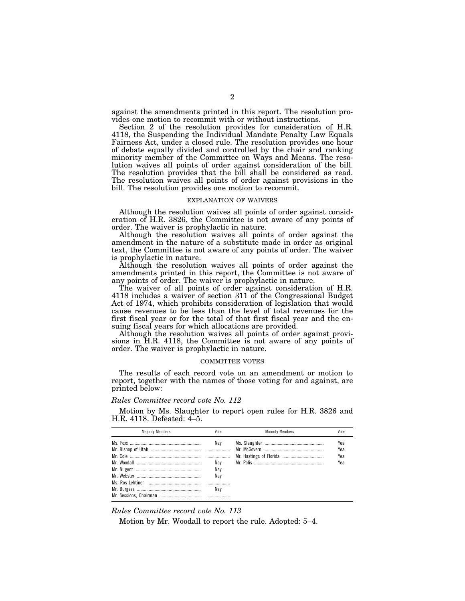against the amendments printed in this report. The resolution provides one motion to recommit with or without instructions.

Section 2 of the resolution provides for consideration of H.R. 4118, the Suspending the Individual Mandate Penalty Law Equals Fairness Act, under a closed rule. The resolution provides one hour of debate equally divided and controlled by the chair and ranking minority member of the Committee on Ways and Means. The resolution waives all points of order against consideration of the bill. The resolution provides that the bill shall be considered as read. The resolution waives all points of order against provisions in the bill. The resolution provides one motion to recommit.

#### EXPLANATION OF WAIVERS

Although the resolution waives all points of order against consideration of H.R. 3826, the Committee is not aware of any points of order. The waiver is prophylactic in nature.

Although the resolution waives all points of order against the amendment in the nature of a substitute made in order as original text, the Committee is not aware of any points of order. The waiver is prophylactic in nature.

Although the resolution waives all points of order against the amendments printed in this report, the Committee is not aware of any points of order. The waiver is prophylactic in nature.

The waiver of all points of order against consideration of H.R. 4118 includes a waiver of section 311 of the Congressional Budget Act of 1974, which prohibits consideration of legislation that would cause revenues to be less than the level of total revenues for the first fiscal year or for the total of that first fiscal year and the ensuing fiscal years for which allocations are provided.

Although the resolution waives all points of order against provisions in H.R. 4118, the Committee is not aware of any points of order. The waiver is prophylactic in nature.

#### COMMITTEE VOTES

The results of each record vote on an amendment or motion to report, together with the names of those voting for and against, are printed below:

#### *Rules Committee record vote No. 112*

Motion by Ms. Slaughter to report open rules for H.R. 3826 and H.R. 4118. Defeated: 4–5.

| <b>Maiority Members</b> | Vote                            | <b>Minority Members</b> | Vote                     |
|-------------------------|---------------------------------|-------------------------|--------------------------|
|                         | Nav<br>Nav<br>Nav<br>Nav<br>Nav |                         | Yea<br>Yea<br>Yea<br>Yea |
|                         |                                 |                         |                          |

#### *Rules Committee record vote No. 113*

Motion by Mr. Woodall to report the rule. Adopted: 5–4.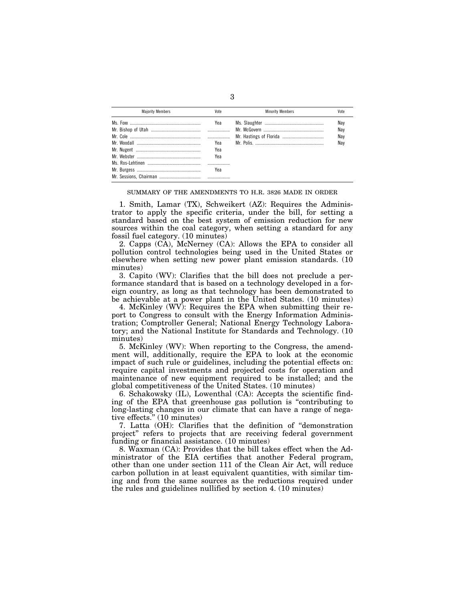| <b>Maiority Members</b> | Vote | <b>Minority Members</b> | Vote |
|-------------------------|------|-------------------------|------|
|                         | Yea  |                         | Nav  |
|                         |      |                         | Nav  |
|                         |      |                         | Nav  |
|                         | Yea  |                         | Nav  |
|                         | Yea  |                         |      |
|                         | Yea  |                         |      |
|                         |      |                         |      |
|                         | Yea  |                         |      |
|                         |      |                         |      |

3

#### SUMMARY OF THE AMENDMENTS TO H.R. 3826 MADE IN ORDER

1. Smith, Lamar (TX), Schweikert (AZ): Requires the Administrator to apply the specific criteria, under the bill, for setting a standard based on the best system of emission reduction for new sources within the coal category, when setting a standard for any fossil fuel category. (10 minutes)

2. Capps (CA), McNerney (CA): Allows the EPA to consider all pollution control technologies being used in the United States or elsewhere when setting new power plant emission standards. (10 minutes)

3. Capito (WV): Clarifies that the bill does not preclude a performance standard that is based on a technology developed in a foreign country, as long as that technology has been demonstrated to be achievable at a power plant in the United States. (10 minutes)

4. McKinley (WV): Requires the EPA when submitting their report to Congress to consult with the Energy Information Administration; Comptroller General; National Energy Technology Laboratory; and the National Institute for Standards and Technology. (10 minutes)

5. McKinley (WV): When reporting to the Congress, the amendment will, additionally, require the EPA to look at the economic impact of such rule or guidelines, including the potential effects on: require capital investments and projected costs for operation and maintenance of new equipment required to be installed; and the global competitiveness of the United States. (10 minutes)

6. Schakowsky (IL), Lowenthal (CA): Accepts the scientific finding of the EPA that greenhouse gas pollution is ''contributing to long-lasting changes in our climate that can have a range of negative effects.'' (10 minutes)

7. Latta (OH): Clarifies that the definition of ''demonstration project'' refers to projects that are receiving federal government funding or financial assistance. (10 minutes)

8. Waxman (CA): Provides that the bill takes effect when the Administrator of the EIA certifies that another Federal program, other than one under section 111 of the Clean Air Act, will reduce carbon pollution in at least equivalent quantities, with similar timing and from the same sources as the reductions required under the rules and guidelines nullified by section 4. (10 minutes)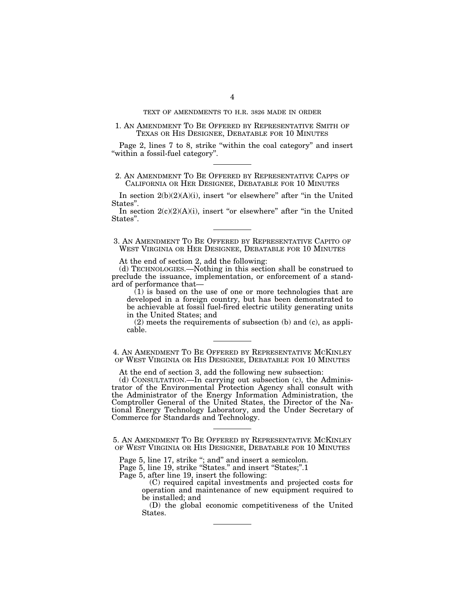### TEXT OF AMENDMENTS TO H.R. 3826 MADE IN ORDER

### 1. AN AMENDMENT TO BE OFFERED BY REPRESENTATIVE SMITH OF TEXAS OR HIS DESIGNEE, DEBATABLE FOR 10 MINUTES

Page 2, lines 7 to 8, strike "within the coal category" and insert ''within a fossil-fuel category''.

# 2. AN AMENDMENT TO BE OFFERED BY REPRESENTATIVE CAPPS OF CALIFORNIA OR HER DESIGNEE, DEBATABLE FOR 10 MINUTES

In section  $2(b)(2)(A)(i)$ , insert "or elsewhere" after "in the United States''.

In section  $2(c)(2)(A)(i)$ , insert "or elsewhere" after "in the United States''.

3. AN AMENDMENT TO BE OFFERED BY REPRESENTATIVE CAPITO OF WEST VIRGINIA OR HER DESIGNEE, DEBATABLE FOR 10 MINUTES

At the end of section 2, add the following:

(d) TECHNOLOGIES.—Nothing in this section shall be construed to preclude the issuance, implementation, or enforcement of a standard of performance that—

 $(1)$  is based on the use of one or more technologies that are developed in a foreign country, but has been demonstrated to be achievable at fossil fuel-fired electric utility generating units in the United States; and

(2) meets the requirements of subsection (b) and (c), as applicable.

4. AN AMENDMENT TO BE OFFERED BY REPRESENTATIVE MCKINLEY OF WEST VIRGINIA OR HIS DESIGNEE, DEBATABLE FOR 10 MINUTES

At the end of section 3, add the following new subsection:

(d) CONSULTATION.—In carrying out subsection (c), the Administrator of the Environmental Protection Agency shall consult with the Administrator of the Energy Information Administration, the Comptroller General of the United States, the Director of the National Energy Technology Laboratory, and the Under Secretary of Commerce for Standards and Technology.

5. AN AMENDMENT TO BE OFFERED BY REPRESENTATIVE MCKINLEY OF WEST VIRGINIA OR HIS DESIGNEE, DEBATABLE FOR 10 MINUTES

Page 5, line 17, strike "; and" and insert a semicolon.

Page 5, line 19, strike "States." and insert "States;".1

Page 5, after line 19, insert the following:

(C) required capital investments and projected costs for operation and maintenance of new equipment required to be installed; and

(D) the global economic competitiveness of the United States.